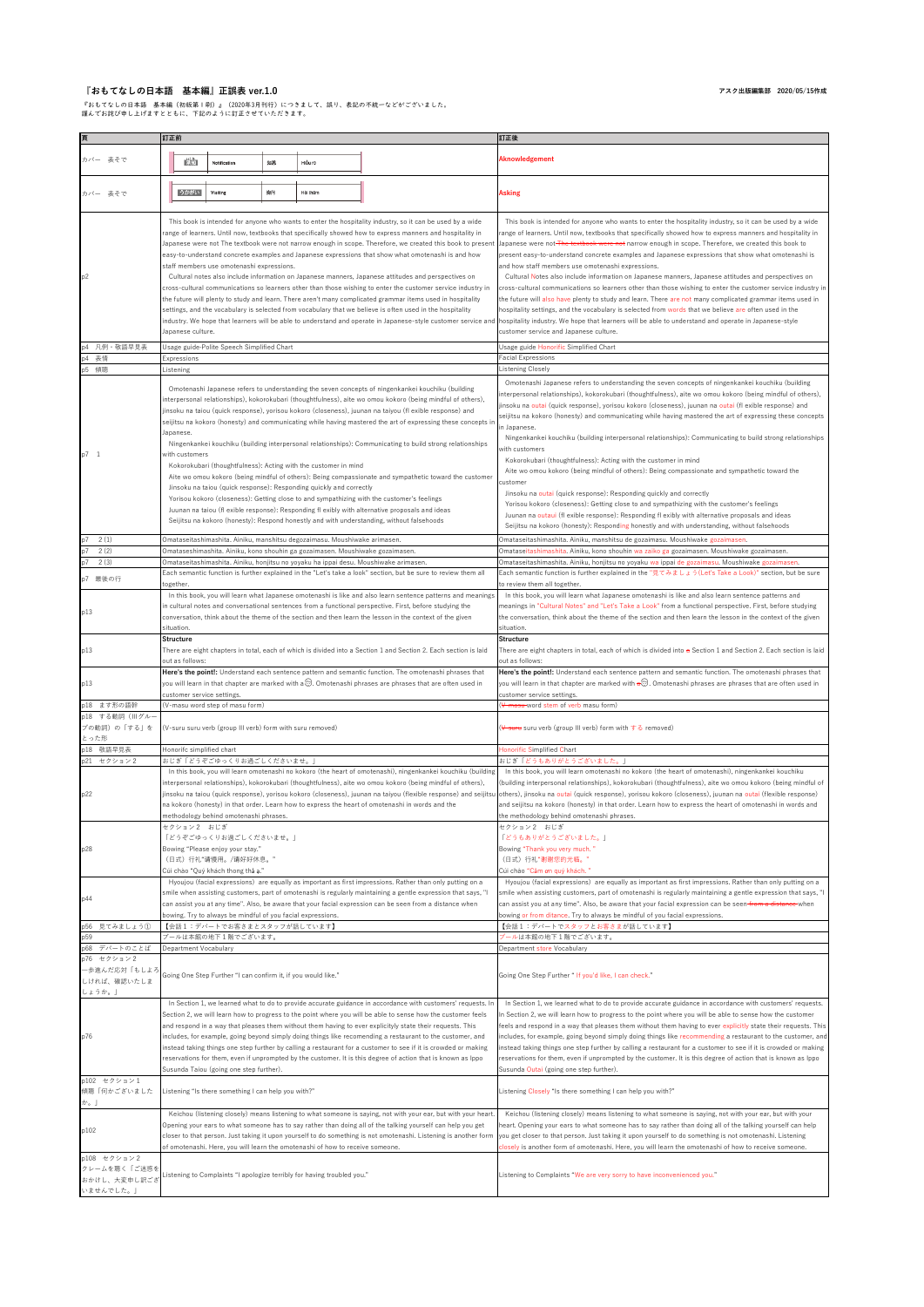## **『おもてなしの日本語 基本編』正誤表 ver.1.0**

『おもてなしの日本語 基本編(初版第1刷)』(2020年3月刊行)につきまして、誤り、表記の不統一などがございました。 謹んでお詫び申し上げますとともに、下記のように訂正させていただきます。

|       |                      |                              | 訂正前                          |                                                               |    |                                                                                                                                        |                                                                                                                                                                                                                                                                                                                                                                                                                                                                                                                                                                                                                                                                                                                                                                                                                                                                                                                                                                                                               | 訂正後                                                                                                                                                                                                                                                                                                                                                                                                                                                                                                                                                                                                                                                                                                                                                                                                                                                                                                                                                                                                                                                                                                 |
|-------|----------------------|------------------------------|------------------------------|---------------------------------------------------------------|----|----------------------------------------------------------------------------------------------------------------------------------------|---------------------------------------------------------------------------------------------------------------------------------------------------------------------------------------------------------------------------------------------------------------------------------------------------------------------------------------------------------------------------------------------------------------------------------------------------------------------------------------------------------------------------------------------------------------------------------------------------------------------------------------------------------------------------------------------------------------------------------------------------------------------------------------------------------------------------------------------------------------------------------------------------------------------------------------------------------------------------------------------------------------|-----------------------------------------------------------------------------------------------------------------------------------------------------------------------------------------------------------------------------------------------------------------------------------------------------------------------------------------------------------------------------------------------------------------------------------------------------------------------------------------------------------------------------------------------------------------------------------------------------------------------------------------------------------------------------------------------------------------------------------------------------------------------------------------------------------------------------------------------------------------------------------------------------------------------------------------------------------------------------------------------------------------------------------------------------------------------------------------------------|
|       |                      |                              |                              |                                                               |    |                                                                                                                                        |                                                                                                                                                                                                                                                                                                                                                                                                                                                                                                                                                                                                                                                                                                                                                                                                                                                                                                                                                                                                               |                                                                                                                                                                                                                                                                                                                                                                                                                                                                                                                                                                                                                                                                                                                                                                                                                                                                                                                                                                                                                                                                                                     |
|       | カバー 表そで              |                              | 麟                            | Notification                                                  | 知悉 | Hiều rõ                                                                                                                                |                                                                                                                                                                                                                                                                                                                                                                                                                                                                                                                                                                                                                                                                                                                                                                                                                                                                                                                                                                                                               | Aknowledgement                                                                                                                                                                                                                                                                                                                                                                                                                                                                                                                                                                                                                                                                                                                                                                                                                                                                                                                                                                                                                                                                                      |
|       | カバー 表そで              |                              | うかがい                         | Visiting                                                      | 询问 | Hội thâm                                                                                                                               |                                                                                                                                                                                                                                                                                                                                                                                                                                                                                                                                                                                                                                                                                                                                                                                                                                                                                                                                                                                                               | <b>Asking</b>                                                                                                                                                                                                                                                                                                                                                                                                                                                                                                                                                                                                                                                                                                                                                                                                                                                                                                                                                                                                                                                                                       |
| p2    |                      |                              | Japanese culture.            | staff members use omotenashi expressions.                     |    |                                                                                                                                        | This book is intended for anyone who wants to enter the hospitality industry, so it can be used by a wide<br>range of learners. Until now, textbooks that specifically showed how to express manners and hospitality in<br>Japanese were not The textbook were not narrow enough in scope. Therefore, we created this book to presen<br>easy-to-understand concrete examples and Japanese expressions that show what omotenashi is and how<br>Cultural notes also include information on Japanese manners, Japanese attitudes and perspectives on<br>cross-cultural communications so learners other than those wishing to enter the customer service industry in<br>the future will plenty to study and learn. There aren't many complicated grammar items used in hospitality<br>settings, and the vocabulary is selected from vocabulary that we believe is often used in the hospitality<br>industry. We hope that learners will be able to understand and operate in Japanese-style customer service and | This book is intended for anyone who wants to enter the hospitality industry, so it can be used by a wide<br>range of learners. Until now, textbooks that specifically showed how to express manners and hospitality in<br>Japanese were not <del> The textbook were not</del> narrow enough in scope. Therefore, we created this book to<br>present easy-to-understand concrete examples and Japanese expressions that show what omotenashi is<br>and how staff members use omotenashi expressions.<br>Cultural Notes also include information on Japanese manners, Japanese attitudes and perspectives on<br>cross-cultural communications so learners other than those wishing to enter the customer service industry in<br>the future will also have plenty to study and learn. There are not many complicated grammar items used in<br>hospitality settings, and the vocabulary is selected from words that we believe are often used in the<br>hospitality industry. We hope that learners will be able to understand and operate in Japanese-style<br>customer service and Japanese culture. |
| р4    |                      | 凡例·敬語早見表                     |                              | Usage guide-Polite Speech Simplified Chart                    |    |                                                                                                                                        |                                                                                                                                                                                                                                                                                                                                                                                                                                                                                                                                                                                                                                                                                                                                                                                                                                                                                                                                                                                                               | Usage guide Honorific Simplified Chart                                                                                                                                                                                                                                                                                                                                                                                                                                                                                                                                                                                                                                                                                                                                                                                                                                                                                                                                                                                                                                                              |
| p4    | 表情                   |                              | Expressions                  |                                                               |    |                                                                                                                                        |                                                                                                                                                                                                                                                                                                                                                                                                                                                                                                                                                                                                                                                                                                                                                                                                                                                                                                                                                                                                               | Facial Expressions                                                                                                                                                                                                                                                                                                                                                                                                                                                                                                                                                                                                                                                                                                                                                                                                                                                                                                                                                                                                                                                                                  |
| p5 傾聴 |                      |                              | Listening                    |                                                               |    |                                                                                                                                        |                                                                                                                                                                                                                                                                                                                                                                                                                                                                                                                                                                                                                                                                                                                                                                                                                                                                                                                                                                                                               | Listening Closely                                                                                                                                                                                                                                                                                                                                                                                                                                                                                                                                                                                                                                                                                                                                                                                                                                                                                                                                                                                                                                                                                   |
| p7 1  |                      |                              | Japanese.<br>with customers  |                                                               |    | Kokorokubari (thoughtfulness): Acting with the customer in mind<br>Jinsoku na taiou (quick response): Responding quickly and correctly | Omotenashi Japanese refers to understanding the seven concepts of ningenkankei kouchiku (building<br>interpersonal relationships), kokorokubari (thoughtfulness), aite wo omou kokoro (being mindful of others),<br>jinsoku na taiou (quick response), yorisou kokoro (closeness), juunan na taiyou (fl exible response) and<br>seijitsu na kokoro (honesty) and communicating while having mastered the art of expressing these concepts i<br>Ningenkankei kouchiku (building interpersonal relationships): Communicating to build strong relationships<br>Aite wo omou kokoro (being mindful of others): Being compassionate and sympathetic toward the customer<br>Yorisou kokoro (closeness): Getting close to and sympathizing with the customer's feelings<br>Juunan na taiou (fl exible response): Responding fl exibly with alternative proposals and ideas<br>Seijitsu na kokoro (honesty): Respond honestly and with understanding, without falsehoods                                              | Omotenashi Japanese refers to understanding the seven concepts of ningenkankei kouchiku (building<br>nterpersonal relationships), kokorokubari (thoughtfulness), aite wo omou kokoro (being mindful of others),<br>insoku na outai (quick response), yorisou kokoro (closeness), juunan na outai (fl exible response) and<br>seijitsu na kokoro (honesty) and communicating while having mastered the art of expressing these concepts<br>in Japanese.<br>Ningenkankei kouchiku (building interpersonal relationships): Communicating to build strong relationships<br>with customers<br>Kokorokubari (thoughtfulness): Acting with the customer in mind<br>Aite wo omou kokoro (being mindful of others): Being compassionate and sympathetic toward the<br>customer<br>Jinsoku na outai (quick response): Responding quickly and correctly<br>Yorisou kokoro (closeness): Getting close to and sympathizing with the customer's feelings<br>Juunan na outaui (fl exible response): Responding fl exibly with alternative proposals and ideas                                                      |
|       |                      |                              |                              |                                                               |    |                                                                                                                                        |                                                                                                                                                                                                                                                                                                                                                                                                                                                                                                                                                                                                                                                                                                                                                                                                                                                                                                                                                                                                               | Seijitsu na kokoro (honesty): Responding honestly and with understanding, without falsehoods                                                                                                                                                                                                                                                                                                                                                                                                                                                                                                                                                                                                                                                                                                                                                                                                                                                                                                                                                                                                        |
| p7    | 2(1)                 |                              |                              |                                                               |    | Omataseitashimashita. Ainiku, manshitsu degozaimasu. Moushiwake arimasen.                                                              |                                                                                                                                                                                                                                                                                                                                                                                                                                                                                                                                                                                                                                                                                                                                                                                                                                                                                                                                                                                                               | Omataseitashimashita. Ainiku, manshitsu de gozaimasu. Moushiwake gozaimasen.                                                                                                                                                                                                                                                                                                                                                                                                                                                                                                                                                                                                                                                                                                                                                                                                                                                                                                                                                                                                                        |
|       | 2(2)                 |                              |                              |                                                               |    | Omataseshimashita. Ainiku, kono shouhin ga gozaimasen. Moushiwake gozaimasen.                                                          |                                                                                                                                                                                                                                                                                                                                                                                                                                                                                                                                                                                                                                                                                                                                                                                                                                                                                                                                                                                                               | Omataseitashimashita. Ainiku, kono shouhin wa zaiko ga gozaimasen. Moushiwake gozaimasen.                                                                                                                                                                                                                                                                                                                                                                                                                                                                                                                                                                                                                                                                                                                                                                                                                                                                                                                                                                                                           |
| р7    | 2(3)                 |                              |                              |                                                               |    |                                                                                                                                        | Omataseitashimashita. Ainiku, honjitsu no yoyaku ha ippai desu. Moushiwake arimasen.<br>Each semantic function is further explained in the "Let's take a look" section, but be sure to review them all                                                                                                                                                                                                                                                                                                                                                                                                                                                                                                                                                                                                                                                                                                                                                                                                        | Omataseitashimashita. Ainiku, honjitsu no yoyaku wa ippai de gozaimasu. Moushiwake gozaimasen.<br>Each semantic function is further explained in the "見てみましょう(Let's Take a Look)" section, but be sure                                                                                                                                                                                                                                                                                                                                                                                                                                                                                                                                                                                                                                                                                                                                                                                                                                                                                              |
|       | p7 最後の行              |                              | ogether.                     |                                                               |    |                                                                                                                                        |                                                                                                                                                                                                                                                                                                                                                                                                                                                                                                                                                                                                                                                                                                                                                                                                                                                                                                                                                                                                               | to review them all together.                                                                                                                                                                                                                                                                                                                                                                                                                                                                                                                                                                                                                                                                                                                                                                                                                                                                                                                                                                                                                                                                        |
| p13   |                      |                              | situation.                   |                                                               |    |                                                                                                                                        | In this book, you will learn what Japanese omotenashi is like and also learn sentence patterns and meanings<br>in cultural notes and conversational sentences from a functional perspective. First, before studying the<br>conversation, think about the theme of the section and then learn the lesson in the context of the given                                                                                                                                                                                                                                                                                                                                                                                                                                                                                                                                                                                                                                                                           | In this book, you will learn what Japanese omotenashi is like and also learn sentence patterns and<br>neanings in "Cultural Notes" and "Let's Take a Look" from a functional perspective. First, before studying<br>the conversation, think about the theme of the section and then learn the lesson in the context of the given<br>situation.                                                                                                                                                                                                                                                                                                                                                                                                                                                                                                                                                                                                                                                                                                                                                      |
| p13   |                      |                              | Structure<br>out as follows: |                                                               |    |                                                                                                                                        | There are eight chapters in total, each of which is divided into a Section 1 and Section 2. Each section is laid                                                                                                                                                                                                                                                                                                                                                                                                                                                                                                                                                                                                                                                                                                                                                                                                                                                                                              | <b>Structure</b><br>There are eight chapters in total, each of which is divided into a Section 1 and Section 2. Each section is laid<br>out as follows:                                                                                                                                                                                                                                                                                                                                                                                                                                                                                                                                                                                                                                                                                                                                                                                                                                                                                                                                             |
| p13   | p18 ます形の語幹           | p18 する動詞 (IIIグルー             |                              | customer service settings.<br>(V-masu word step of masu form) |    |                                                                                                                                        | Here's the point!: Understand each sentence pattern and semantic function. The omotenashi phrases that<br>you will learn in that chapter are marked with a☺. Omotenashi phrases are phrases that are often used in                                                                                                                                                                                                                                                                                                                                                                                                                                                                                                                                                                                                                                                                                                                                                                                            | Here's the point!: Understand each sentence pattern and semantic function. The omotenashi phrases that<br>you will learn in that chapter are marked with $\pi \otimes$ . Omotenashi phrases are phrases that are often used in<br>customer service settings.<br>V-masu word stem of verb masu form)                                                                                                                                                                                                                                                                                                                                                                                                                                                                                                                                                                                                                                                                                                                                                                                                 |
| とった形  |                      | プの動詞)の「する」を                  |                              | (V-suru suru verb (group III verb) form with suru removed)    |    |                                                                                                                                        |                                                                                                                                                                                                                                                                                                                                                                                                                                                                                                                                                                                                                                                                                                                                                                                                                                                                                                                                                                                                               | ( <del>V-suru</del> suru verb (group III verb) form with する removed)                                                                                                                                                                                                                                                                                                                                                                                                                                                                                                                                                                                                                                                                                                                                                                                                                                                                                                                                                                                                                                |
|       | p18 敬語早見表            |                              |                              | Honorifc simplified chart                                     |    |                                                                                                                                        |                                                                                                                                                                                                                                                                                                                                                                                                                                                                                                                                                                                                                                                                                                                                                                                                                                                                                                                                                                                                               | Honorific Simplified Chart                                                                                                                                                                                                                                                                                                                                                                                                                                                                                                                                                                                                                                                                                                                                                                                                                                                                                                                                                                                                                                                                          |
|       | p21 セクション2           |                              |                              | おじぎ「どうぞごゆっくりお過ごしくださいませ。」                                      |    |                                                                                                                                        |                                                                                                                                                                                                                                                                                                                                                                                                                                                                                                                                                                                                                                                                                                                                                                                                                                                                                                                                                                                                               | おじぎ「どうもありがとうございました。」                                                                                                                                                                                                                                                                                                                                                                                                                                                                                                                                                                                                                                                                                                                                                                                                                                                                                                                                                                                                                                                                                |
| p22   |                      |                              | セクション2 おじぎ                   | methodology behind omotenashi phrases.                        |    |                                                                                                                                        | In this book, you will learn omotenashi no kokoro (the heart of omotenashi), ningenkankei kouchiku (building<br>interpersonal relationships), kokorokubari (thoughtfulness), aite wo omou kokoro (being mindful of others),<br>jinsoku na taiou (quick response), yorisou kokoro (closeness), juunan na taiyou (flexible response) and seijitsu<br>na kokoro (honesty) in that order. Learn how to express the heart of omotenashi in words and the                                                                                                                                                                                                                                                                                                                                                                                                                                                                                                                                                           | In this book, you will learn omotenashi no kokoro (the heart of omotenashi), ningenkankei kouchiku<br>(building interpersonal relationships), kokorokubari (thoughtfulness), aite wo omou kokoro (being mindful of<br>others), jinsoku na outai (quick response), yorisou kokoro (closeness), juunan na outai (flexible response)<br>and seijitsu na kokoro (honesty) in that order. Learn how to express the heart of omotenashi in words and<br>the methodology behind omotenashi phrases.<br>セクション2 おじぎ                                                                                                                                                                                                                                                                                                                                                                                                                                                                                                                                                                                          |
|       |                      |                              |                              | 「どうぞごゆっくりお過ごしくださいませ。」                                         |    |                                                                                                                                        |                                                                                                                                                                                                                                                                                                                                                                                                                                                                                                                                                                                                                                                                                                                                                                                                                                                                                                                                                                                                               | 「どうもありがとうございました。」                                                                                                                                                                                                                                                                                                                                                                                                                                                                                                                                                                                                                                                                                                                                                                                                                                                                                                                                                                                                                                                                                   |
| p28   |                      |                              |                              | Bowing "Please enjoy your stay."                              |    |                                                                                                                                        |                                                                                                                                                                                                                                                                                                                                                                                                                                                                                                                                                                                                                                                                                                                                                                                                                                                                                                                                                                                                               | Bowing "Thank you very much."                                                                                                                                                                                                                                                                                                                                                                                                                                                                                                                                                                                                                                                                                                                                                                                                                                                                                                                                                                                                                                                                       |
|       |                      |                              |                              | (日式) 行礼"请慢用。/请好好休息。"                                          |    |                                                                                                                                        |                                                                                                                                                                                                                                                                                                                                                                                                                                                                                                                                                                                                                                                                                                                                                                                                                                                                                                                                                                                                               | (日式) 行礼"谢谢您的光临。"                                                                                                                                                                                                                                                                                                                                                                                                                                                                                                                                                                                                                                                                                                                                                                                                                                                                                                                                                                                                                                                                                    |
|       |                      |                              |                              | Cúi chào "Quý khách thong thả ạ."                             |    |                                                                                                                                        |                                                                                                                                                                                                                                                                                                                                                                                                                                                                                                                                                                                                                                                                                                                                                                                                                                                                                                                                                                                                               | Cúi chảo "Cảm ơn quý khách."                                                                                                                                                                                                                                                                                                                                                                                                                                                                                                                                                                                                                                                                                                                                                                                                                                                                                                                                                                                                                                                                        |
|       |                      |                              |                              |                                                               |    |                                                                                                                                        | Hyoujou (facial expressions) are equally as important as first impressions. Rather than only putting on a                                                                                                                                                                                                                                                                                                                                                                                                                                                                                                                                                                                                                                                                                                                                                                                                                                                                                                     | Hyoujou (facial expressions) are equally as important as first impressions. Rather than only putting on a                                                                                                                                                                                                                                                                                                                                                                                                                                                                                                                                                                                                                                                                                                                                                                                                                                                                                                                                                                                           |
| p44   |                      |                              |                              |                                                               |    |                                                                                                                                        | smile when assisting customers, part of omotenashi is regularly maintaining a gentle expression that says, "I<br>can assist you at any time". Also, be aware that your facial expression can be seen from a distance when                                                                                                                                                                                                                                                                                                                                                                                                                                                                                                                                                                                                                                                                                                                                                                                     | smile when assisting customers, part of omotenashi is regularly maintaining a gentle expression that says, "I<br>can assist you at any time". Also, be aware that your facial expression can be seen from a distance when                                                                                                                                                                                                                                                                                                                                                                                                                                                                                                                                                                                                                                                                                                                                                                                                                                                                           |
|       |                      |                              |                              | bowing. Try to always be mindful of you facial expressions.   |    |                                                                                                                                        |                                                                                                                                                                                                                                                                                                                                                                                                                                                                                                                                                                                                                                                                                                                                                                                                                                                                                                                                                                                                               | bowing or from ditance. Try to always be mindful of you facial expressions.                                                                                                                                                                                                                                                                                                                                                                                                                                                                                                                                                                                                                                                                                                                                                                                                                                                                                                                                                                                                                         |
|       |                      | p56 見てみましょう①                 |                              | 【会話1:デバートでお客さまとスタッフが話しています】                                   |    |                                                                                                                                        |                                                                                                                                                                                                                                                                                                                                                                                                                                                                                                                                                                                                                                                                                                                                                                                                                                                                                                                                                                                                               | 【会話1:デバートでスタッフとお客さまが話しています】                                                                                                                                                                                                                                                                                                                                                                                                                                                                                                                                                                                                                                                                                                                                                                                                                                                                                                                                                                                                                                                                         |
| p59   |                      |                              |                              | ブールは本館の地下1階でございます。                                            |    |                                                                                                                                        |                                                                                                                                                                                                                                                                                                                                                                                                                                                                                                                                                                                                                                                                                                                                                                                                                                                                                                                                                                                                               | プールは本館の地下1階でございます。                                                                                                                                                                                                                                                                                                                                                                                                                                                                                                                                                                                                                                                                                                                                                                                                                                                                                                                                                                                                                                                                                  |
|       |                      | p68 デバートのことば                 |                              | Department Vocabulary                                         |    |                                                                                                                                        |                                                                                                                                                                                                                                                                                                                                                                                                                                                                                                                                                                                                                                                                                                                                                                                                                                                                                                                                                                                                               | Department store Vocabulary                                                                                                                                                                                                                                                                                                                                                                                                                                                                                                                                                                                                                                                                                                                                                                                                                                                                                                                                                                                                                                                                         |
|       | p76 セクション2<br>しょうか。」 | -歩進んだ応対「もしよろ<br>しければ、確認いたしま  |                              | Going One Step Further "I can confirm it, if you would like." |    |                                                                                                                                        |                                                                                                                                                                                                                                                                                                                                                                                                                                                                                                                                                                                                                                                                                                                                                                                                                                                                                                                                                                                                               | Going One Step Further " If you'd like, I can check."                                                                                                                                                                                                                                                                                                                                                                                                                                                                                                                                                                                                                                                                                                                                                                                                                                                                                                                                                                                                                                               |
|       |                      |                              |                              |                                                               |    |                                                                                                                                        | In Section 1, we learned what to do to provide accurate guidance in accordance with customers' requests. In                                                                                                                                                                                                                                                                                                                                                                                                                                                                                                                                                                                                                                                                                                                                                                                                                                                                                                   | In Section 1, we learned what to do to provide accurate guidance in accordance with customers' requests.                                                                                                                                                                                                                                                                                                                                                                                                                                                                                                                                                                                                                                                                                                                                                                                                                                                                                                                                                                                            |
| p76   |                      |                              |                              | Susunda Taiou (going one step further).                       |    |                                                                                                                                        | Section 2, we will learn how to progress to the point where you will be able to sense how the customer feels<br>and respond in a way that pleases them without them having to ever explicityly state their requests. This<br>includes, for example, going beyond simply doing things like recomending a restaurant to the customer, and<br>instead taking things one step further by calling a restaurant for a customer to see if it is crowded or making<br>reservations for them, even if unprompted by the customer. It is this degree of action that is known as Ippo                                                                                                                                                                                                                                                                                                                                                                                                                                    | In Section 2, we will learn how to progress to the point where you will be able to sense how the customer<br>feels and respond in a way that pleases them without them having to ever explicitly state their requests. This<br>includes, for example, going beyond simply doing things like recommending a restaurant to the customer, and<br>instead taking things one step further by calling a restaurant for a customer to see if it is crowded or making<br>reservations for them, even if unprompted by the customer. It is this degree of action that is known as Ippo<br>Susunda Outai (going one step further).                                                                                                                                                                                                                                                                                                                                                                                                                                                                            |
| か。」   | p102 セクション1          | 傾聴「何かございました                  |                              | Listening "Is there something I can help you with?"           |    |                                                                                                                                        |                                                                                                                                                                                                                                                                                                                                                                                                                                                                                                                                                                                                                                                                                                                                                                                                                                                                                                                                                                                                               | Listening Closely "Is there something I can help you with?"                                                                                                                                                                                                                                                                                                                                                                                                                                                                                                                                                                                                                                                                                                                                                                                                                                                                                                                                                                                                                                         |
| p102  | p108 セクション2          |                              |                              |                                                               |    | of omotenashi. Here, you will learn the omotenashi of how to receive someone.                                                          | Keichou (listening closely) means listening to what someone is saying, not with your ear, but with your heart.<br>Opening your ears to what someone has to say rather than doing all of the talking yourself can help you get<br>closer to that person. Just taking it upon yourself to do something is not omotenashi. Listening is another form                                                                                                                                                                                                                                                                                                                                                                                                                                                                                                                                                                                                                                                             | Keichou (listening closely) means listening to what someone is saying, not with your ear, but with your<br>heart. Opening your ears to what someone has to say rather than doing all of the talking yourself can help<br>you get closer to that person. Just taking it upon yourself to do something is not omotenashi. Listening<br>losely is another form of omotenashi. Here, you will learn the omotenashi of how to receive someone.                                                                                                                                                                                                                                                                                                                                                                                                                                                                                                                                                                                                                                                           |
|       | いませんでした。」            | クレームを聴く「ご迷惑を<br>おかけし、大変申し訳ござ |                              |                                                               |    | Listening to Complaints "I apologize terribly for having troubled you."                                                                |                                                                                                                                                                                                                                                                                                                                                                                                                                                                                                                                                                                                                                                                                                                                                                                                                                                                                                                                                                                                               | Listening to Complaints "We are very sorry to have inconvenienced you."                                                                                                                                                                                                                                                                                                                                                                                                                                                                                                                                                                                                                                                                                                                                                                                                                                                                                                                                                                                                                             |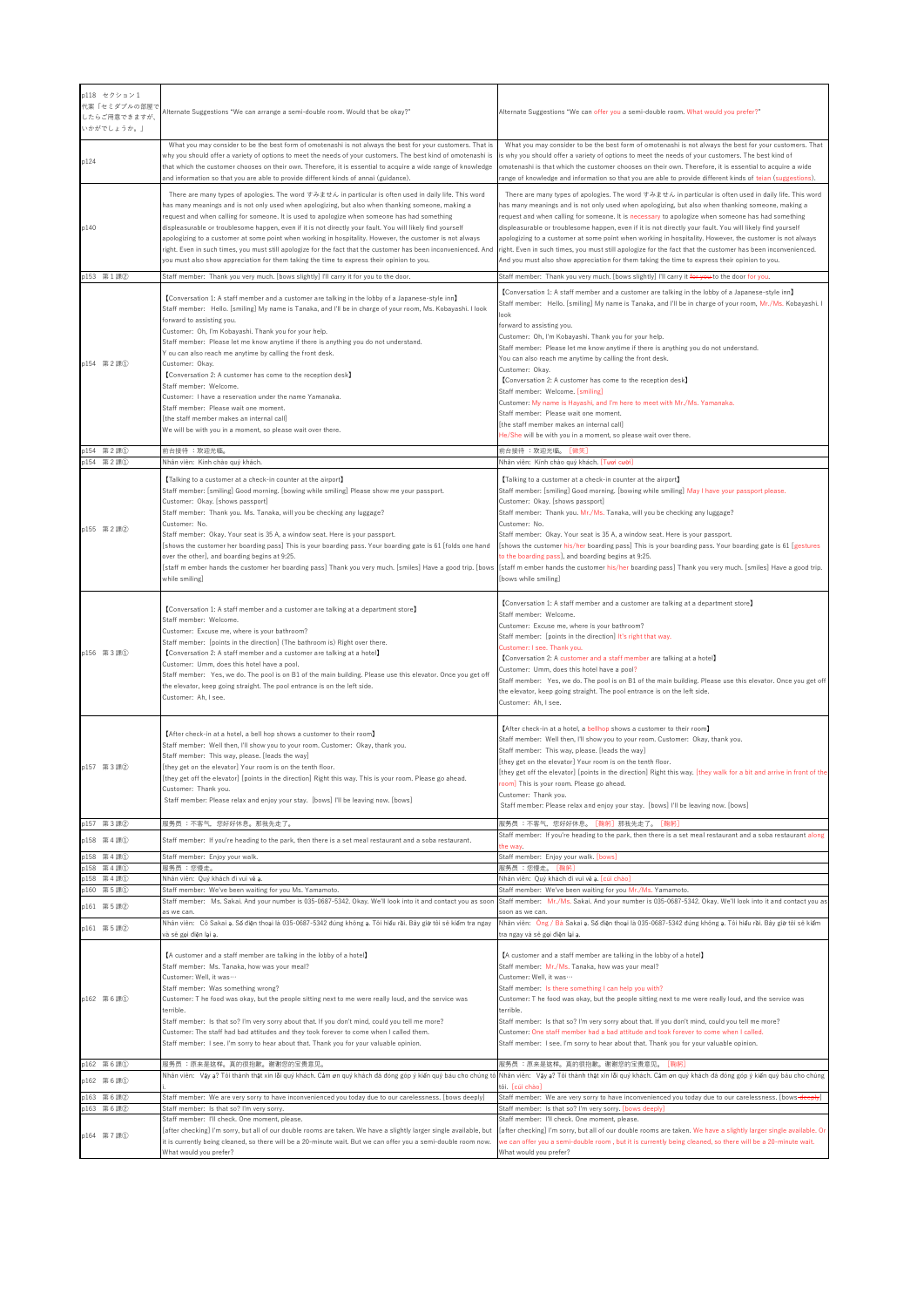|      | p118 セクション1<br>代案「セミダブルの部屋で<br>したらご用意できますが、<br>いかがでしょうか。」 | Alternate Suggestions "We can arrange a semi-double room. Would that be okay?"                                                                                                                                                                                                                                                                                                                                                                                                                                                                                                                                                                                                                                                                                                         | Alternate Suggestions "We can offer you a semi-double room. What would you prefer?"                                                                                                                                                                                                                                                                                                                                                                                                                                                                                                                                                                                                                                                                                                                                        |
|------|-----------------------------------------------------------|----------------------------------------------------------------------------------------------------------------------------------------------------------------------------------------------------------------------------------------------------------------------------------------------------------------------------------------------------------------------------------------------------------------------------------------------------------------------------------------------------------------------------------------------------------------------------------------------------------------------------------------------------------------------------------------------------------------------------------------------------------------------------------------|----------------------------------------------------------------------------------------------------------------------------------------------------------------------------------------------------------------------------------------------------------------------------------------------------------------------------------------------------------------------------------------------------------------------------------------------------------------------------------------------------------------------------------------------------------------------------------------------------------------------------------------------------------------------------------------------------------------------------------------------------------------------------------------------------------------------------|
| p124 |                                                           | What you may consider to be the best form of omotenashi is not always the best for your customers. That is<br>why you should offer a variety of options to meet the needs of your customers. The best kind of omotenashi is<br>that which the customer chooses on their own. Therefore, it is essential to acquire a wide range of knowledge<br>and information so that you are able to provide different kinds of annai (guidance).                                                                                                                                                                                                                                                                                                                                                   | What you may consider to be the best form of omotenashi is not always the best for your customers. That<br>is why you should offer a variety of options to meet the needs of your customers. The best kind of<br>omotenashi is that which the customer chooses on their own. Therefore, it is essential to acquire a wide<br>range of knowledge and information so that you are able to provide different kinds of teian (suggestions).                                                                                                                                                                                                                                                                                                                                                                                    |
| p140 |                                                           | There are many types of apologies. The word すみません in particular is often used in daily life. This word<br>has many meanings and is not only used when apologizing, but also when thanking someone, making a<br>request and when calling for someone. It is used to apologize when someone has had something<br>displeasurable or troublesome happen, even if it is not directly your fault. You will likely find yourself<br>apologizing to a customer at some point when working in hospitality. However, the customer is not always<br>right. Even in such times, you must still apologize for the fact that the customer has been inconvenienced. And<br>you must also show appreciation for them taking the time to express their opinion to you.                                  | There are many types of apologies. The word すみません in particular is often used in daily life. This word<br>has many meanings and is not only used when apologizing, but also when thanking someone, making a<br>request and when calling for someone. It is necessary to apologize when someone has had something<br>displeasurable or troublesome happen, even if it is not directly your fault. You will likely find yourself<br>apologizing to a customer at some point when working in hospitality. However, the customer is not always<br>right. Even in such times, you must still apologize for the fact that the customer has been inconvenienced.<br>And you must also show appreciation for them taking the time to express their opinion to you.                                                                 |
|      | p153 第1課2                                                 | Staff member: Thank you very much. [bows slightly] I'll carry it for you to the door.                                                                                                                                                                                                                                                                                                                                                                                                                                                                                                                                                                                                                                                                                                  | Staff member: Thank you very much. [bows slightly] I'll carry it for you to the door for you.                                                                                                                                                                                                                                                                                                                                                                                                                                                                                                                                                                                                                                                                                                                              |
|      | p154 第2課1                                                 | [Conversation 1: A staff member and a customer are talking in the lobby of a Japanese-style inn]<br>Staff member: Hello. [smiling] My name is Tanaka, and I'll be in charge of your room, Ms. Kobayashi. I look<br>forward to assisting you.<br>Customer: Oh, I'm Kobayashi. Thank you for your help.<br>Staff member: Please let me know anytime if there is anything you do not understand.<br>Y ou can also reach me anytime by calling the front desk.<br>Customer: Okay.<br>[Conversation 2: A customer has come to the reception desk]<br>Staff member: Welcome.<br>Customer: I have a reservation under the name Yamanaka.<br>Staff member: Please wait one moment.<br>[the staff member makes an internal call]<br>We will be with you in a moment, so please wait over there. | [Conversation 1: A staff member and a customer are talking in the lobby of a Japanese-style inn]<br>Staff member: Hello, [smiling] My name is Tanaka, and I'll be in charge of your room, Mr./Ms. Kobayashi.<br>look<br>forward to assisting you.<br>Customer: Oh, I'm Kobayashi. Thank you for your help.<br>Staff member: Please let me know anytime if there is anything you do not understand.<br>You can also reach me anytime by calling the front desk.<br>Customer: Okav.<br>[Conversation 2: A customer has come to the reception desk]<br>Staff member: Welcome. [smiling]<br>Customer: My name is Hayashi, and I'm here to meet with Mr./Ms. Yamanaka.<br>Staff member: Please wait one moment.<br>[the staff member makes an internal call]<br>He/She will be with you in a moment, so please wait over there. |
|      | p154 第2課1                                                 | 前台接待 :欢迎光临。                                                                                                                                                                                                                                                                                                                                                                                                                                                                                                                                                                                                                                                                                                                                                                            | 前台接待 :欢迎光临。 [微笑]                                                                                                                                                                                                                                                                                                                                                                                                                                                                                                                                                                                                                                                                                                                                                                                                           |
|      | p154 第2課1<br>p155 第2課2                                    | Nhân viên: Kính chào quý khách.<br>[Talking to a customer at a check-in counter at the airport]<br>Staff member: [smiling] Good morning. [bowing while smiling] Please show me your passport.<br>Customer: Okay. [shows passport]<br>Staff member: Thank you. Ms. Tanaka, will you be checking any luggage?<br>Customer: No.<br>Staff member: Okay. Your seat is 35 A, a window seat. Here is your passport.<br>[shows the customer her boarding pass] This is your boarding pass. Your boarding gate is 61 [folds one hand<br>over the other], and boarding begins at 9:25.<br>[staff m ember hands the customer her boarding pass] Thank you very much. [smiles] Have a good trip. [bows<br>while smiling]                                                                           | Nhân viên: Kinh chào quý khách. [Tươi cười]<br>[Talking to a customer at a check-in counter at the airport]<br>Staff member: [smiling] Good morning. [bowing while smiling] May I have your passport please.<br>Customer: Okay. [shows passport]<br>Staff member: Thank you. Mr./Ms. Tanaka, will you be checking any luggage?<br>Customer: No.<br>Staff member: Okay. Your seat is 35 A, a window seat. Here is your passport.<br>[shows the customer his/her boarding pass] This is your boarding pass. Your boarding gate is 61 [gestures<br>to the boarding pass], and boarding begins at 9:25.<br>[staff m ember hands the customer his/her boarding pass] Thank you very much. [smiles] Have a good trip.<br>[bows while smiling]                                                                                    |
|      | p156 第3課1                                                 | [Conversation 1: A staff member and a customer are talking at a department store]<br>Staff member: Welcome.<br>Customer: Excuse me, where is your bathroom?<br>Staff member: [points in the direction] (The bathroom is) Right over there.<br>[Conversation 2: A staff member and a customer are talking at a hotel]<br>Customer: Umm, does this hotel have a pool.<br>Staff member: Yes, we do. The pool is on B1 of the main building. Please use this elevator. Once you get off<br>the elevator, keep going straight. The pool entrance is on the left side.<br>Customer: Ah, I see.                                                                                                                                                                                               | [Conversation 1: A staff member and a customer are talking at a department store]<br>Staff member: Welcome.<br>Customer: Excuse me, where is your bathroom?<br>Staff member: [points in the direction] It's right that way.<br>Customer: I see. Thank you.<br>[Conversation 2: A customer and a staff member are talking at a hotel]<br>Customer: Umm, does this hotel have a pool?<br>Staff member: Yes, we do. The pool is on B1 of the main building. Please use this elevator. Once you get off<br>the elevator, keep going straight. The pool entrance is on the left side.<br>Customer: Ah, I see.                                                                                                                                                                                                                   |
|      | p157 第3課2                                                 | [After check-in at a hotel, a bell hop shows a customer to their room]<br>Staff member: Well then, I'll show you to your room. Customer: Okay, thank you.<br>Staff member: This way, please. [leads the way]<br>[they get on the elevator] Your room is on the tenth floor.<br>they get off the elevator] [points in the direction] Right this way. This is your room. Please go ahead<br>Customer: Thank you.<br>Staff member: Please relax and enjoy your stay. [bows] I'll be leaving now. [bows]                                                                                                                                                                                                                                                                                   | [After check-in at a hotel, a bellhop shows a customer to their room]<br>Staff member: Well then, I'll show you to your room. Customer: Okay, thank you.<br>Staff member: This way, please. [leads the way]<br>[they get on the elevator] Your room is on the tenth floor.<br>[they get off the elevator] [points in the direction] Right this way. [they walk for a bit and arrive in front of the<br><b>oom] T</b> his is your room. Please go ahead.<br>Customer: Thank you.<br>Staff member: Please relax and enjoy your stay. [bows] I'll be leaving now. [bows]                                                                                                                                                                                                                                                      |
|      | p157 第3課2                                                 | 服务员 :不客气,您好好休息。那我先走了。                                                                                                                                                                                                                                                                                                                                                                                                                                                                                                                                                                                                                                                                                                                                                                  | 服务员 :不客气,您好好休息。[鞠躬]那我先走了。[鞠躬]                                                                                                                                                                                                                                                                                                                                                                                                                                                                                                                                                                                                                                                                                                                                                                                              |
|      | p158 第4課1                                                 | Staff member: If you're heading to the park, then there is a set meal restaurant and a soba restaurant.                                                                                                                                                                                                                                                                                                                                                                                                                                                                                                                                                                                                                                                                                | Staff member: If you're heading to the park, then there is a set meal restaurant and a soba restaurant along<br>the wav.                                                                                                                                                                                                                                                                                                                                                                                                                                                                                                                                                                                                                                                                                                   |
|      | p158 第4課1                                                 | Staff member: Enjoy your walk.                                                                                                                                                                                                                                                                                                                                                                                                                                                                                                                                                                                                                                                                                                                                                         | Staff member: Enjoy your walk. [bows]                                                                                                                                                                                                                                                                                                                                                                                                                                                                                                                                                                                                                                                                                                                                                                                      |
|      | p158 第4課1<br>p158 第4課1                                    | 服务员:您慢走。<br>Nhân viên: Quý khách đi vui vẻ ạ.                                                                                                                                                                                                                                                                                                                                                                                                                                                                                                                                                                                                                                                                                                                                          | 服务员 :您慢走。 [鞠躬]<br>Nhân viên: Quý khách đi vui vẻ ạ. [cúi chào]                                                                                                                                                                                                                                                                                                                                                                                                                                                                                                                                                                                                                                                                                                                                                             |
|      | p160 第5課1                                                 | Staff member: We've been waiting for you Ms. Yamamoto.<br>Staff member: Ms. Sakai. And your number is 035-0687-5342. Okay. We'll look into it and contact you as soon                                                                                                                                                                                                                                                                                                                                                                                                                                                                                                                                                                                                                  | Staff member: We've been waiting for you Mr./Ms. Yamamoto.                                                                                                                                                                                                                                                                                                                                                                                                                                                                                                                                                                                                                                                                                                                                                                 |
|      | p161 第5課2                                                 | as we can.                                                                                                                                                                                                                                                                                                                                                                                                                                                                                                                                                                                                                                                                                                                                                                             | Staff member: Mr./Ms. Sakai. And your number is 035-0687-5342. Okay. We'll look into it and contact you as<br>soon as we can.                                                                                                                                                                                                                                                                                                                                                                                                                                                                                                                                                                                                                                                                                              |
|      | p161 第5課2                                                 | Nhân viên: Cô Sakai ạ. Số điện thoại là 035-0687-5342 đúng không ạ. Tôi hiểu rồi. Bây giờ tôi sẽ kiểm tra ngay<br>và sẽ gọi điện lại a.                                                                                                                                                                                                                                                                                                                                                                                                                                                                                                                                                                                                                                                | Nhân viên: Ông / Bà Sakai a. Số diện thoại là 035-0687-5342 dúng không a. Tôi hiểu rồi. Bây giờ tôi sẽ kiểm<br>tra ngay và sẽ gọi điện lại ạ.                                                                                                                                                                                                                                                                                                                                                                                                                                                                                                                                                                                                                                                                              |
|      | p162 第6課1                                                 | [A customer and a staff member are talking in the lobby of a hotel]<br>Staff member: Ms. Tanaka, how was your meal?<br>Customer: Well, it was<br>Staff member: Was something wrong?<br>Customer: T he food was okay, but the people sitting next to me were really loud, and the service was<br>terrible.<br>Staff member: Is that so? I'm very sorry about that. If you don't mind, could you tell me more?<br>Customer: The staff had bad attitudes and they took forever to come when I called them.<br>Staff member: I see. I'm sorry to hear about that. Thank you for your valuable opinion.                                                                                                                                                                                     | [A customer and a staff member are talking in the lobby of a hotel]<br>Staff member: Mr./Ms. Tanaka, how was your meal?<br>Customer: Well, it was<br>Staff member: Is there something I can help you with?<br>Customer: T he food was okay, but the people sitting next to me were really loud, and the service was<br>terrible.<br>Staff member: Is that so? I'm very sorry about that. If you don't mind, could you tell me more?<br>Customer: One staff member had a bad attitude and took forever to come when I called.<br>Staff member: I see. I'm sorry to hear about that. Thank you for your valuable opinion.                                                                                                                                                                                                    |
|      | p162 第6課1                                                 | 服务员 :原来是这样。真的很抱歉。谢谢您的宝贵意见。<br>Nhân viên: Vậy ạ? Tôi thành thật xin lỗi quý khách. Cảm ơn quý khách đã đóng góp ý kiến quý báu cho chúng tô                                                                                                                                                                                                                                                                                                                                                                                                                                                                                                                                                                                                                                             | 服务员 :原来是这样。真的很抱歉。谢谢您的宝贵意见。 <i>【</i> 鞠躬】<br>Nhân viên: Vậy ạ? Tôi thành thật xin lỗi quý khách. Cảm ơn quý khách đã đóng góp ý kiến quý báu cho chúng                                                                                                                                                                                                                                                                                                                                                                                                                                                                                                                                                                                                                                                                       |
|      | p162 第6課1                                                 |                                                                                                                                                                                                                                                                                                                                                                                                                                                                                                                                                                                                                                                                                                                                                                                        | tôi. [cúi chào]                                                                                                                                                                                                                                                                                                                                                                                                                                                                                                                                                                                                                                                                                                                                                                                                            |
|      | p163 第6課2<br>p163 第6課2                                    | Staff member: We are very sorry to have inconvenienced you today due to our carelessness. [bows deeply]<br>Staff member: Is that so? I'm very sorry.                                                                                                                                                                                                                                                                                                                                                                                                                                                                                                                                                                                                                                   | Staff member: We are very sorry to have inconvenienced you today due to our carelessness. [bows-deepty]<br>Staff member: Is that so? I'm very sorry. [bows deeply]                                                                                                                                                                                                                                                                                                                                                                                                                                                                                                                                                                                                                                                         |
|      | p164 第7課1                                                 | Staff member: I'll check. One moment, please.<br>[after checking] I'm sorry, but all of our double rooms are taken. We have a slightly larger single available, but<br>it is currently being cleaned, so there will be a 20-minute wait. But we can offer you a semi-double room now.<br>What would you prefer?                                                                                                                                                                                                                                                                                                                                                                                                                                                                        | Staff member: I'll check. One moment, please.<br>[after checking] I'm sorry, but all of our double rooms are taken. We have a slightly larger single available. Or<br>we can offer you a semi-double room, but it is currently being cleaned, so there will be a 20-minute wait.<br>What would you prefer?                                                                                                                                                                                                                                                                                                                                                                                                                                                                                                                 |